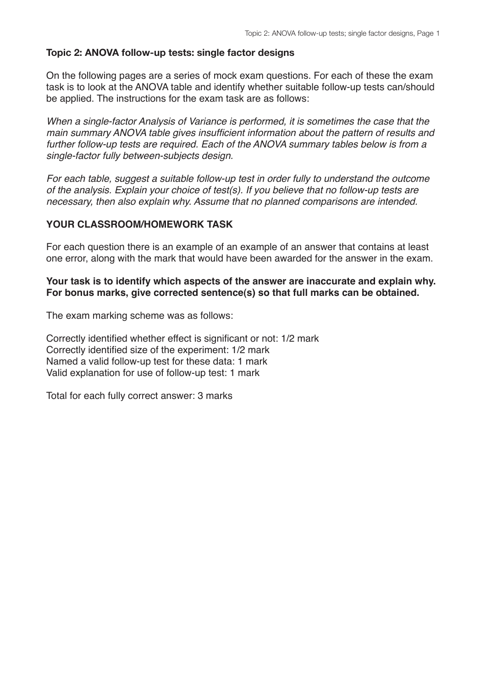## **Topic 2: ANOVA follow-up tests: single factor designs**

On the following pages are a series of mock exam questions. For each of these the exam task is to look at the ANOVA table and identify whether suitable follow-up tests can/should be applied. The instructions for the exam task are as follows:

*When a single-factor Analysis of Variance is performed, it is sometimes the case that the main summary ANOVA table gives insufficient information about the pattern of results and further follow-up tests are required. Each of the ANOVA summary tables below is from a single-factor fully between-subjects design.*

*For each table, suggest a suitable follow-up test in order fully to understand the outcome of the analysis. Explain your choice of test(s). If you believe that no follow-up tests are necessary, then also explain why. Assume that no planned comparisons are intended.*

## **YOUR CLASSROOM/HOMEWORK TASK**

For each question there is an example of an example of an answer that contains at least one error, along with the mark that would have been awarded for the answer in the exam.

## **Your task is to identify which aspects of the answer are inaccurate and explain why. For bonus marks, give corrected sentence(s) so that full marks can be obtained.**

The exam marking scheme was as follows:

Correctly identified whether effect is significant or not: 1/2 mark Correctly identified size of the experiment: 1/2 mark Named a valid follow-up test for these data: 1 mark Valid explanation for use of follow-up test: 1 mark

Total for each fully correct answer: 3 marks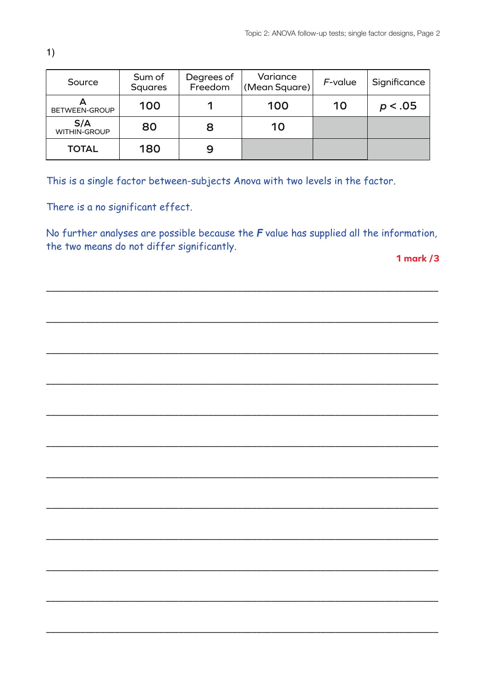| Source                     | Sum of<br><b>Squares</b> | Degrees of<br>Freedom | Variance<br>(Mean Square) | F-value | Significance |
|----------------------------|--------------------------|-----------------------|---------------------------|---------|--------------|
| BETWEEN-GROUP              | 100                      |                       | 100                       | 10      | p < .05      |
| S/A<br><b>WITHIN-GROUP</b> | 80                       | 8                     | 10                        |         |              |
| <b>TOTAL</b>               | 180                      | 9                     |                           |         |              |

There is a no significant effect.

No further analyses are possible because the  $F$  value has supplied all the information, the two means do not differ significantly.

1 mark  $/3$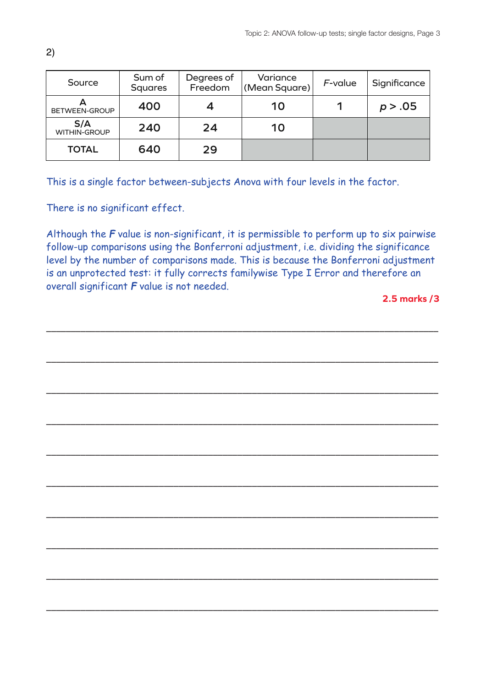| Source                     | Sum of<br><b>Squares</b> | Degrees of<br>Freedom | Variance<br>(Mean Square) | F-value | Significance |
|----------------------------|--------------------------|-----------------------|---------------------------|---------|--------------|
| BETWEEN-GROUP              | 400                      |                       | 10                        |         | p > .05      |
| S/A<br><b>WITHIN-GROUP</b> | 240                      | 24                    | 10                        |         |              |
| <b>TOTAL</b>               | 640                      | 29                    |                           |         |              |

There is no significant effect.

Although the *F* value is non-significant, it is permissible to perform up to six pairwise follow-up comparisons using the Bonferroni adjustment, i.e. dividing the significance level by the number of comparisons made. This is because the Bonferroni adjustment is an unprotected test: it fully corrects familywise Type I Error and therefore an overall significant *F* value is not needed.

––––––––––––––––––––––––––––––––––––––––––––––––––––––––––––––––––––––––––––––––

––––––––––––––––––––––––––––––––––––––––––––––––––––––––––––––––––––––––––––––––

––––––––––––––––––––––––––––––––––––––––––––––––––––––––––––––––––––––––––––––––

––––––––––––––––––––––––––––––––––––––––––––––––––––––––––––––––––––––––––––––––

––––––––––––––––––––––––––––––––––––––––––––––––––––––––––––––––––––––––––––––––

––––––––––––––––––––––––––––––––––––––––––––––––––––––––––––––––––––––––––––––––

––––––––––––––––––––––––––––––––––––––––––––––––––––––––––––––––––––––––––––––––

––––––––––––––––––––––––––––––––––––––––––––––––––––––––––––––––––––––––––––––––

––––––––––––––––––––––––––––––––––––––––––––––––––––––––––––––––––––––––––––––––

––––––––––––––––––––––––––––––––––––––––––––––––––––––––––––––––––––––––––––––––

**2.5 marks /3**

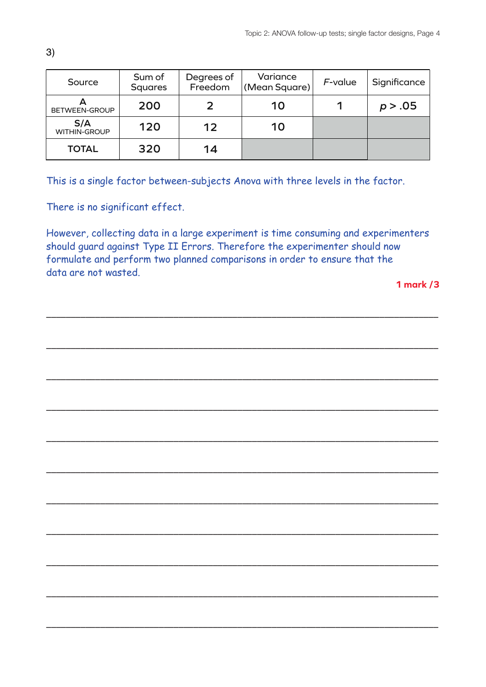| Source                     | Sum of<br><b>Squares</b> | Degrees of<br>Freedom | Variance<br>(Mean Square) | F-value | Significance |
|----------------------------|--------------------------|-----------------------|---------------------------|---------|--------------|
| BETWEEN-GROUP              | 200                      |                       | 10                        |         | p > .05      |
| S/A<br><b>WITHIN-GROUP</b> | 120                      | 12                    | 10                        |         |              |
| <b>TOTAL</b>               | 320                      | 14                    |                           |         |              |

There is no significant effect.

However, collecting data in a large experiment is time consuming and experimenters should guard against Type II Errors. Therefore the experimenter should now formulate and perform two planned comparisons in order to ensure that the data are not wasted.

––––––––––––––––––––––––––––––––––––––––––––––––––––––––––––––––––––––––––––––––

––––––––––––––––––––––––––––––––––––––––––––––––––––––––––––––––––––––––––––––––

––––––––––––––––––––––––––––––––––––––––––––––––––––––––––––––––––––––––––––––––

––––––––––––––––––––––––––––––––––––––––––––––––––––––––––––––––––––––––––––––––

––––––––––––––––––––––––––––––––––––––––––––––––––––––––––––––––––––––––––––––––

––––––––––––––––––––––––––––––––––––––––––––––––––––––––––––––––––––––––––––––––

––––––––––––––––––––––––––––––––––––––––––––––––––––––––––––––––––––––––––––––––

––––––––––––––––––––––––––––––––––––––––––––––––––––––––––––––––––––––––––––––––

––––––––––––––––––––––––––––––––––––––––––––––––––––––––––––––––––––––––––––––––

––––––––––––––––––––––––––––––––––––––––––––––––––––––––––––––––––––––––––––––––

––––––––––––––––––––––––––––––––––––––––––––––––––––––––––––––––––––––––––––––––

**1 mark /3**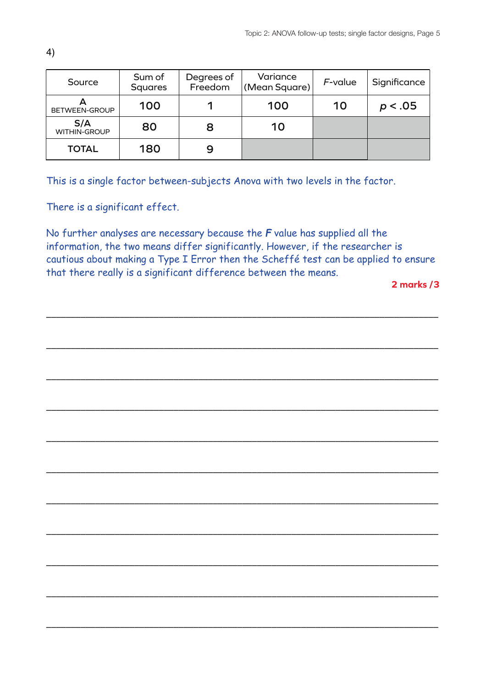| Source                     | Sum of<br><b>Squares</b> | Degrees of<br>Freedom | Variance<br>(Mean Square) | F-value | Significance |
|----------------------------|--------------------------|-----------------------|---------------------------|---------|--------------|
| BETWEEN-GROUP              | 100                      | 100<br>10             | p < .05                   |         |              |
| S/A<br><b>WITHIN-GROUP</b> | 80                       | 8                     | 10                        |         |              |
| <b>TOTAL</b>               | 180                      | 9                     |                           |         |              |

There is a significant effect.

No further analyses are necessary because the *F* value has supplied all the information, the two means differ significantly. However, if the researcher is cautious about making a Type I Error then the Scheffé test can be applied to ensure that there really is a significant difference between the means.

––––––––––––––––––––––––––––––––––––––––––––––––––––––––––––––––––––––––––––––––

––––––––––––––––––––––––––––––––––––––––––––––––––––––––––––––––––––––––––––––––

––––––––––––––––––––––––––––––––––––––––––––––––––––––––––––––––––––––––––––––––

––––––––––––––––––––––––––––––––––––––––––––––––––––––––––––––––––––––––––––––––

––––––––––––––––––––––––––––––––––––––––––––––––––––––––––––––––––––––––––––––––

––––––––––––––––––––––––––––––––––––––––––––––––––––––––––––––––––––––––––––––––

––––––––––––––––––––––––––––––––––––––––––––––––––––––––––––––––––––––––––––––––

––––––––––––––––––––––––––––––––––––––––––––––––––––––––––––––––––––––––––––––––

––––––––––––––––––––––––––––––––––––––––––––––––––––––––––––––––––––––––––––––––

––––––––––––––––––––––––––––––––––––––––––––––––––––––––––––––––––––––––––––––––

––––––––––––––––––––––––––––––––––––––––––––––––––––––––––––––––––––––––––––––––

**2 marks /3**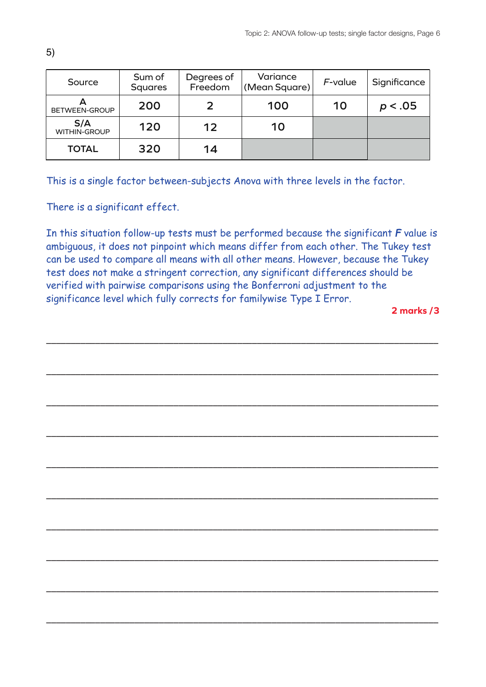| Source                     | Sum of<br><b>Squares</b> | Degrees of<br>Freedom | Variance<br>(Mean Square) | F-value | Significance |
|----------------------------|--------------------------|-----------------------|---------------------------|---------|--------------|
| BETWEEN-GROUP              | 200                      |                       | 100                       | 10      | p < .05      |
| S/A<br><b>WITHIN-GROUP</b> | 120                      | 12                    | 10                        |         |              |
| <b>TOTAL</b>               | 320                      | 14                    |                           |         |              |

There is a significant effect.

In this situation follow-up tests must be performed because the significant *F* value is ambiguous, it does not pinpoint which means differ from each other. The Tukey test can be used to compare all means with all other means. However, because the Tukey test does not make a stringent correction, any significant differences should be verified with pairwise comparisons using the Bonferroni adjustment to the significance level which fully corrects for familywise Type I Error.

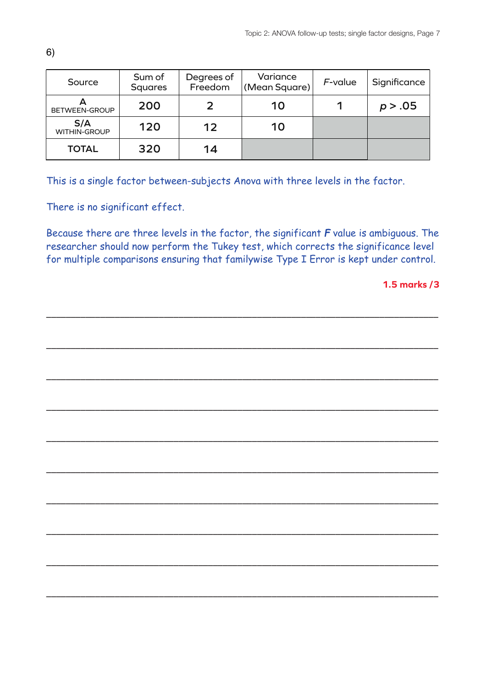| Source                     | Sum of<br><b>Squares</b> | Degrees of<br>Freedom | Variance<br>(Mean Square) | F-value | Significance |
|----------------------------|--------------------------|-----------------------|---------------------------|---------|--------------|
| BETWEEN-GROUP              | 200                      |                       | 10                        |         | p > .05      |
| S/A<br><b>WITHIN-GROUP</b> | 120                      | 12                    | 10                        |         |              |
| <b>TOTAL</b>               | 320                      | 14                    |                           |         |              |

There is no significant effect.

Because there are three levels in the factor, the significant *F* value is ambiguous. The researcher should now perform the Tukey test, which corrects the significance level for multiple comparisons ensuring that familywise Type I Error is kept under control.

––––––––––––––––––––––––––––––––––––––––––––––––––––––––––––––––––––––––––––––––

––––––––––––––––––––––––––––––––––––––––––––––––––––––––––––––––––––––––––––––––

––––––––––––––––––––––––––––––––––––––––––––––––––––––––––––––––––––––––––––––––

––––––––––––––––––––––––––––––––––––––––––––––––––––––––––––––––––––––––––––––––

––––––––––––––––––––––––––––––––––––––––––––––––––––––––––––––––––––––––––––––––

––––––––––––––––––––––––––––––––––––––––––––––––––––––––––––––––––––––––––––––––

––––––––––––––––––––––––––––––––––––––––––––––––––––––––––––––––––––––––––––––––

––––––––––––––––––––––––––––––––––––––––––––––––––––––––––––––––––––––––––––––––

––––––––––––––––––––––––––––––––––––––––––––––––––––––––––––––––––––––––––––––––

––––––––––––––––––––––––––––––––––––––––––––––––––––––––––––––––––––––––––––––––

**1.5 marks /3**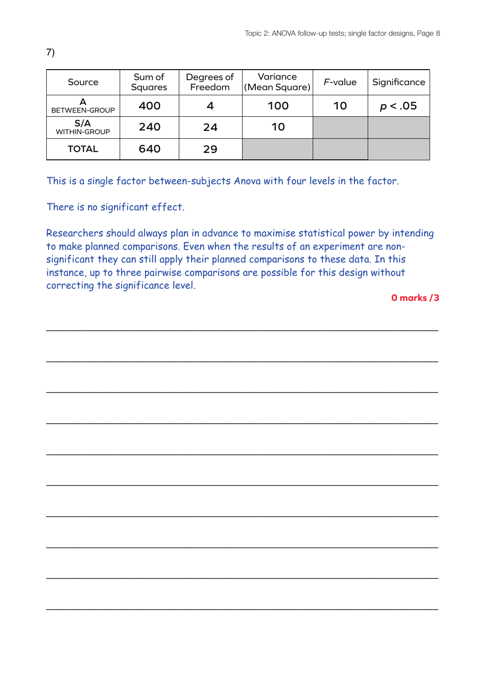| Source                     | Sum of<br><b>Squares</b> | Degrees of<br>Freedom | Variance<br>(Mean Square) | F-value | Significance |
|----------------------------|--------------------------|-----------------------|---------------------------|---------|--------------|
| BETWEEN-GROUP              | 400                      |                       | 100                       | 10      | p < .05      |
| S/A<br><b>WITHIN-GROUP</b> | 240                      | 24                    | 10                        |         |              |
| <b>TOTAL</b>               | 640                      | 29                    |                           |         |              |

There is no significant effect.

Researchers should always plan in advance to maximise statistical power by intending to make planned comparisons. Even when the results of an experiment are nonsignificant they can still apply their planned comparisons to these data. In this instance, up to three pairwise comparisons are possible for this design without correcting the significance level.

––––––––––––––––––––––––––––––––––––––––––––––––––––––––––––––––––––––––––––––––

––––––––––––––––––––––––––––––––––––––––––––––––––––––––––––––––––––––––––––––––

––––––––––––––––––––––––––––––––––––––––––––––––––––––––––––––––––––––––––––––––

––––––––––––––––––––––––––––––––––––––––––––––––––––––––––––––––––––––––––––––––

––––––––––––––––––––––––––––––––––––––––––––––––––––––––––––––––––––––––––––––––

––––––––––––––––––––––––––––––––––––––––––––––––––––––––––––––––––––––––––––––––

––––––––––––––––––––––––––––––––––––––––––––––––––––––––––––––––––––––––––––––––

––––––––––––––––––––––––––––––––––––––––––––––––––––––––––––––––––––––––––––––––

––––––––––––––––––––––––––––––––––––––––––––––––––––––––––––––––––––––––––––––––

––––––––––––––––––––––––––––––––––––––––––––––––––––––––––––––––––––––––––––––––

**0 marks /3**

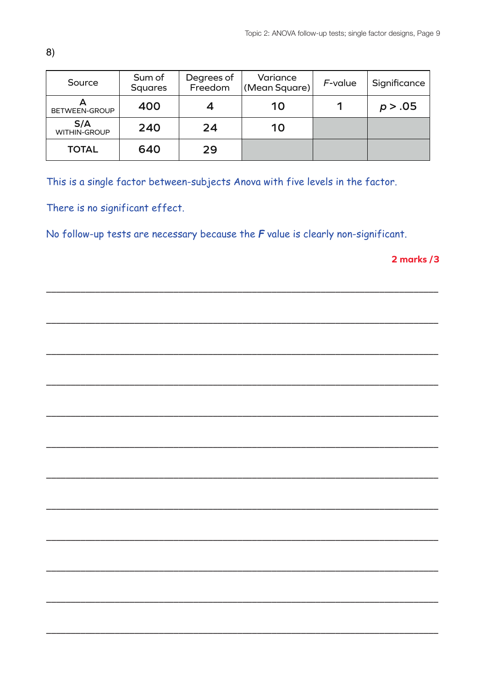| Source                     | Sum of<br><b>Squares</b> | Degrees of<br>Freedom | Variance<br>(Mean Square) | F-value | Significance |
|----------------------------|--------------------------|-----------------------|---------------------------|---------|--------------|
| BETWEEN-GROUP              | 400                      |                       | 10                        |         | p > .05      |
| S/A<br><b>WITHIN-GROUP</b> | 240                      | 24                    | 10                        |         |              |
| <b>TOTAL</b>               | 640                      | 29                    |                           |         |              |

There is no significant effect.

No follow-up tests are necessary because the  $F$  value is clearly non-significant.

2 marks /3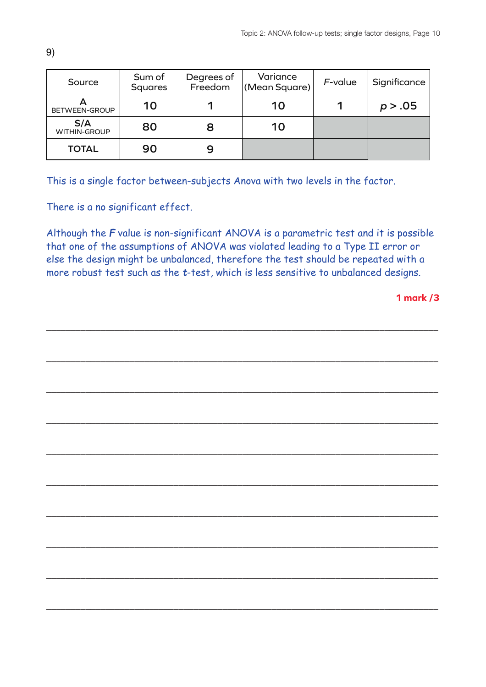| Source                     | Sum of<br>Squares | Degrees of<br>Freedom | Variance<br>(Mean Square) | F-value | Significance |
|----------------------------|-------------------|-----------------------|---------------------------|---------|--------------|
| BETWEEN-GROUP              | 10                |                       | 10                        |         | p > .05      |
| S/A<br><b>WITHIN-GROUP</b> | 80                | 8                     | 10                        |         |              |
| <b>TOTAL</b>               | 90                | 9                     |                           |         |              |

There is a no significant effect.

Although the *F* value is non-significant ANOVA is a parametric test and it is possible that one of the assumptions of ANOVA was violated leading to a Type II error or else the design might be unbalanced, therefore the test should be repeated with a more robust test such as the *t*-test, which is less sensitive to unbalanced designs.

––––––––––––––––––––––––––––––––––––––––––––––––––––––––––––––––––––––––––––––––

––––––––––––––––––––––––––––––––––––––––––––––––––––––––––––––––––––––––––––––––

––––––––––––––––––––––––––––––––––––––––––––––––––––––––––––––––––––––––––––––––

––––––––––––––––––––––––––––––––––––––––––––––––––––––––––––––––––––––––––––––––

––––––––––––––––––––––––––––––––––––––––––––––––––––––––––––––––––––––––––––––––

––––––––––––––––––––––––––––––––––––––––––––––––––––––––––––––––––––––––––––––––

––––––––––––––––––––––––––––––––––––––––––––––––––––––––––––––––––––––––––––––––

––––––––––––––––––––––––––––––––––––––––––––––––––––––––––––––––––––––––––––––––

––––––––––––––––––––––––––––––––––––––––––––––––––––––––––––––––––––––––––––––––

––––––––––––––––––––––––––––––––––––––––––––––––––––––––––––––––––––––––––––––––

**1 mark /3**